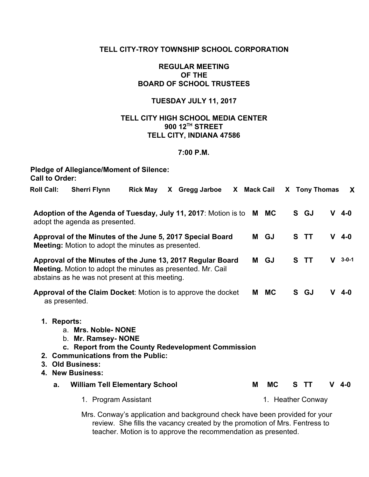## **TELL CITY-TROY TOWNSHIP SCHOOL CORPORATION**

### **REGULAR MEETING OF THE BOARD OF SCHOOL TRUSTEES**

## **TUESDAY JULY 11, 2017**

## **TELL CITY HIGH SCHOOL MEDIA CENTER 900 12 TH STREET TELL CITY, INDIANA 47586**

#### **7:00 P.M.**

| <b>Call to Order:</b>                                                                                                  | <b>Pledge of Allegiance/Moment of Silence:</b>                                                                                                                                        |                 |  |                                                                                                                                                                                                                            |  |                   |           |    |                    |    |             |
|------------------------------------------------------------------------------------------------------------------------|---------------------------------------------------------------------------------------------------------------------------------------------------------------------------------------|-----------------|--|----------------------------------------------------------------------------------------------------------------------------------------------------------------------------------------------------------------------------|--|-------------------|-----------|----|--------------------|----|-------------|
| <b>Roll Call:</b>                                                                                                      | <b>Sherri Flynn</b>                                                                                                                                                                   | <b>Rick May</b> |  | X Gregg Jarboe                                                                                                                                                                                                             |  | X Mack Cail       |           | X. | <b>Tony Thomas</b> |    | X           |
|                                                                                                                        | Adoption of the Agenda of Tuesday, July 11, 2017: Motion is to<br>adopt the agenda as presented.                                                                                      |                 |  |                                                                                                                                                                                                                            |  |                   | M MC      |    | S GJ               |    | $V$ 4-0     |
| Approval of the Minutes of the June 5, 2017 Special Board<br><b>Meeting:</b> Motion to adopt the minutes as presented. |                                                                                                                                                                                       |                 |  |                                                                                                                                                                                                                            |  |                   | GJ        | S  | <b>TT</b>          |    | $V$ 4-0     |
|                                                                                                                        | Approval of the Minutes of the June 13, 2017 Regular Board<br>Meeting. Motion to adopt the minutes as presented. Mr. Cail<br>abstains as he was not present at this meeting.          |                 |  |                                                                                                                                                                                                                            |  | М                 | GJ        | S  | <b>TT</b>          | V  | $3 - 0 - 1$ |
| Approval of the Claim Docket: Motion is to approve the docket<br>as presented.                                         |                                                                                                                                                                                       |                 |  |                                                                                                                                                                                                                            |  | М                 | <b>MC</b> |    | S GJ               | v. | $4 - 0$     |
| 1. Reports:<br>3.<br>4.                                                                                                | a. Mrs. Noble-NONE<br>b. Mr. Ramsey- NONE<br>c. Report from the County Redevelopment Commission<br>2. Communications from the Public:<br><b>Old Business:</b><br><b>New Business:</b> |                 |  |                                                                                                                                                                                                                            |  |                   |           |    |                    |    |             |
| a.                                                                                                                     | <b>William Tell Elementary School</b>                                                                                                                                                 |                 |  |                                                                                                                                                                                                                            |  | M                 | <b>MC</b> | S  | - TT               | v. | $4 - 0$     |
|                                                                                                                        | 1. Program Assistant                                                                                                                                                                  |                 |  |                                                                                                                                                                                                                            |  | 1. Heather Conway |           |    |                    |    |             |
|                                                                                                                        |                                                                                                                                                                                       |                 |  | Mrs. Conway's application and background check have been provided for your<br>review. She fills the vacancy created by the promotion of Mrs. Fentress to<br>teacher. Motion is to approve the recommendation as presented. |  |                   |           |    |                    |    |             |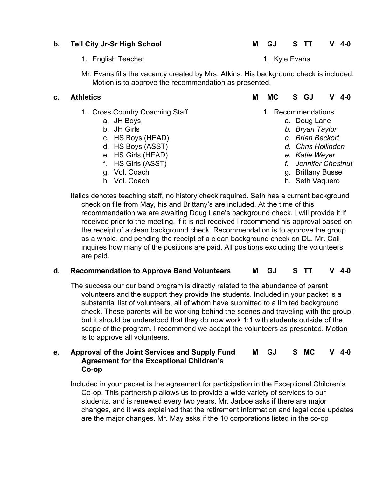- 1. English Teacher 1. Kyle Evans
- Mr. Evans fills the vacancy created by Mrs. Atkins. His background check is included. Motion is to approve the recommendation as presented.

- 1. Cross Country Coaching Staff
	- a. JH Boys
	- b. JH Girls
	- c. HS Boys (HEAD)
	- d. HS Boys (ASST)
	- e. HS Girls (HEAD)
	- f. HS Girls (ASST)
	- g. Vol. Coach
	- h. Vol. Coach

# **c. Athletics M MC S GJ V 4-0**

- 1. Recommendations
	- a. Doug Lane
	- *b. Bryan Taylor*
	- *c. Brian Beckort*
	- *d. Chris Hollinden*
	- *e. Katie Weyer*
	- *f. Jennifer Chestnut*
	- g. Brittany Busse
	- h. Seth Vaquero

Italics denotes teaching staff, no history check required. Seth has a current background check on file from May, his and Brittany's are included. At the time of this recommendation we are awaiting Doug Lane's background check. I will provide it if received prior to the meeting, if it is not received I recommend his approval based on the receipt of a clean background check. Recommendation is to approve the group as a whole, and pending the receipt of a clean background check on DL. Mr. Cail inquires how many of the positions are paid. All positions excluding the volunteers are paid.

# **d. Recommendation to Approve Band Volunteers M GJ S TT V 4-0**

The success our our band program is directly related to the abundance of parent volunteers and the support they provide the students. Included in your packet is a substantial list of volunteers, all of whom have submitted to a limited background check. These parents will be working behind the scenes and traveling with the group, but it should be understood that they do now work 1:1 with students outside of the scope of the program. I recommend we accept the volunteers as presented. Motion is to approve all volunteers.

#### **e. Approval of the Joint Services and Supply Fund Agreement for the Exceptional Children's Co-op M GJ S MC V 4-0**

Included in your packet is the agreement for participation in the Exceptional Children's Co-op. This partnership allows us to provide a wide variety of services to our students, and is renewed every two years. Mr. Jarboe asks if there are major changes, and it was explained that the retirement information and legal code updates are the major changes. Mr. May asks if the 10 corporations listed in the co-op

# **b. Tell City Jr-Sr High School M GJ S TT V 4-0**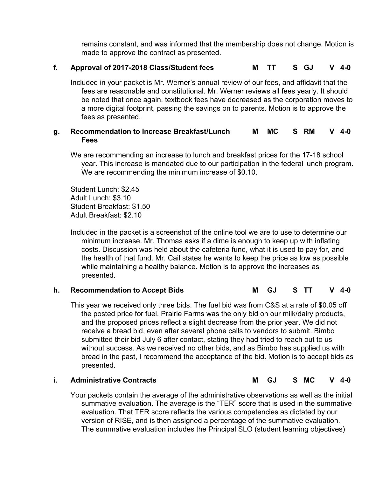remains constant, and was informed that the membership does not change. Motion is made to approve the contract as presented.

## **f. Approval of 2017-2018 Class/Student fees M TT S GJ V 4-0**

Included in your packet is Mr. Werner's annual review of our fees, and affidavit that the fees are reasonable and constitutional. Mr. Werner reviews all fees yearly. It should be noted that once again, textbook fees have decreased as the corporation moves to a more digital footprint, passing the savings on to parents. Motion is to approve the fees as presented.

#### **g. Recommendation to Increase Breakfast/Lunch Fees M MC S RM V 4-0**

We are recommending an increase to lunch and breakfast prices for the 17-18 school year. This increase is mandated due to our participation in the federal lunch program. We are recommending the minimum increase of \$0.10.

Student Lunch: \$2.45 Adult Lunch: \$3.10 Student Breakfast: \$1.50 Adult Breakfast: \$2.10

Included in the packet is a screenshot of the online tool we are to use to determine our minimum increase. Mr. Thomas asks if a dime is enough to keep up with inflating costs. Discussion was held about the cafeteria fund, what it is used to pay for, and the health of that fund. Mr. Cail states he wants to keep the price as low as possible while maintaining a healthy balance. Motion is to approve the increases as presented.

## **h. Recommendation to Accept Bids M GJ S TT V 4-0**

This year we received only three bids. The fuel bid was from C&S at a rate of \$0.05 off the posted price for fuel. Prairie Farms was the only bid on our milk/dairy products, and the proposed prices reflect a slight decrease from the prior year. We did not receive a bread bid, even after several phone calls to vendors to submit. Bimbo submitted their bid July 6 after contact, stating they had tried to reach out to us without success. As we received no other bids, and as Bimbo has supplied us with bread in the past, I recommend the acceptance of the bid. Motion is to accept bids as presented.

#### **i. Administrative Contracts M GJ S MC V 4-0**

Your packets contain the average of the administrative observations as well as the initial summative evaluation. The average is the "TER" score that is used in the summative evaluation. That TER score reflects the various competencies as dictated by our version of RISE, and is then assigned a percentage of the summative evaluation. The summative evaluation includes the Principal SLO (student learning objectives)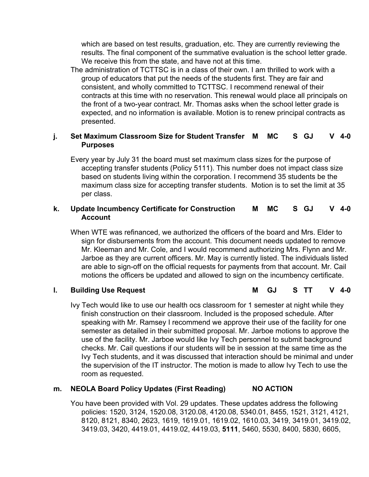which are based on test results, graduation, etc. They are currently reviewing the results. The final component of the summative evaluation is the school letter grade. We receive this from the state, and have not at this time.

The administration of TCTTSC is in a class of their own. I am thrilled to work with a group of educators that put the needs of the students first. They are fair and consistent, and wholly committed to TCTTSC. I recommend renewal of their contracts at this time with no reservation. This renewal would place all principals on the front of a two-year contract. Mr. Thomas asks when the school letter grade is expected, and no information is available. Motion is to renew principal contracts as presented.

#### **j. Set Maximum Classroom Size for Student Transfer Purposes M MC S GJ V 4-0**

Every year by July 31 the board must set maximum class sizes for the purpose of accepting transfer students (Policy 5111). This number does not impact class size based on students living within the corporation. I recommend 35 students be the maximum class size for accepting transfer students. Motion is to set the limit at 35 per class.

#### **k. Update Incumbency Certificate for Construction Account M MC S GJ V 4-0**

When WTE was refinanced, we authorized the officers of the board and Mrs. Elder to sign for disbursements from the account. This document needs updated to remove Mr. Kleeman and Mr. Cole, and I would recommend authorizing Mrs. Flynn and Mr. Jarboe as they are current officers. Mr. May is currently listed. The individuals listed are able to sign-off on the official requests for payments from that account. Mr. Cail motions the officers be updated and allowed to sign on the incumbency certificate.

**l. Building Use Request M GJ S TT V 4-0**

Ivy Tech would like to use our health ocs classroom for 1 semester at night while they finish construction on their classroom. Included is the proposed schedule. After speaking with Mr. Ramsey I recommend we approve their use of the facility for one semester as detailed in their submitted proposal. Mr. Jarboe motions to approve the use of the facility. Mr. Jarboe would like Ivy Tech personnel to submit background checks. Mr. Cail questions if our students will be in session at the same time as the Ivy Tech students, and it was discussed that interaction should be minimal and under the supervision of the IT instructor. The motion is made to allow Ivy Tech to use the room as requested.

## **m. NEOLA Board Policy Updates (First Reading) NO ACTION**

You have been provided with Vol. 29 updates. These updates address the following policies: 1520, 3124, 1520.08, 3120.08, 4120.08, 5340.01, 8455, 1521, 3121, 4121, 8120, 8121, 8340, 2623, 1619, 1619.01, 1619.02, 1610.03, 3419, 3419.01, 3419.02, 3419.03, 3420, 4419.01, 4419.02, 4419.03, **5111**, 5460, 5530, 8400, 5830, 6605,